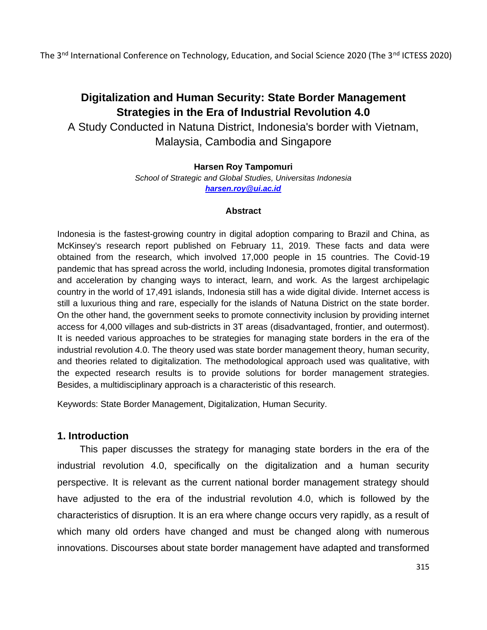# **Digitalization and Human Security: State Border Management Strategies in the Era of Industrial Revolution 4.0**

A Study Conducted in Natuna District, Indonesia's border with Vietnam, Malaysia, Cambodia and Singapore

## **Harsen Roy Tampomuri**

*School of Strategic and Global Studies, Universitas Indonesia [harsen.roy@ui.ac.id](mailto:harsen.roy@ui.ac.id)*

#### **Abstract**

Indonesia is the fastest-growing country in digital adoption comparing to Brazil and China, as McKinsey's research report published on February 11, 2019. These facts and data were obtained from the research, which involved 17,000 people in 15 countries. The Covid-19 pandemic that has spread across the world, including Indonesia, promotes digital transformation and acceleration by changing ways to interact, learn, and work. As the largest archipelagic country in the world of 17,491 islands, Indonesia still has a wide digital divide. Internet access is still a luxurious thing and rare, especially for the islands of Natuna District on the state border. On the other hand, the government seeks to promote connectivity inclusion by providing internet access for 4,000 villages and sub-districts in 3T areas (disadvantaged, frontier, and outermost). It is needed various approaches to be strategies for managing state borders in the era of the industrial revolution 4.0. The theory used was state border management theory, human security, and theories related to digitalization. The methodological approach used was qualitative, with the expected research results is to provide solutions for border management strategies. Besides, a multidisciplinary approach is a characteristic of this research.

Keywords: State Border Management, Digitalization, Human Security.

## **1. Introduction**

This paper discusses the strategy for managing state borders in the era of the industrial revolution 4.0, specifically on the digitalization and a human security perspective. It is relevant as the current national border management strategy should have adjusted to the era of the industrial revolution 4.0, which is followed by the characteristics of disruption. It is an era where change occurs very rapidly, as a result of which many old orders have changed and must be changed along with numerous innovations. Discourses about state border management have adapted and transformed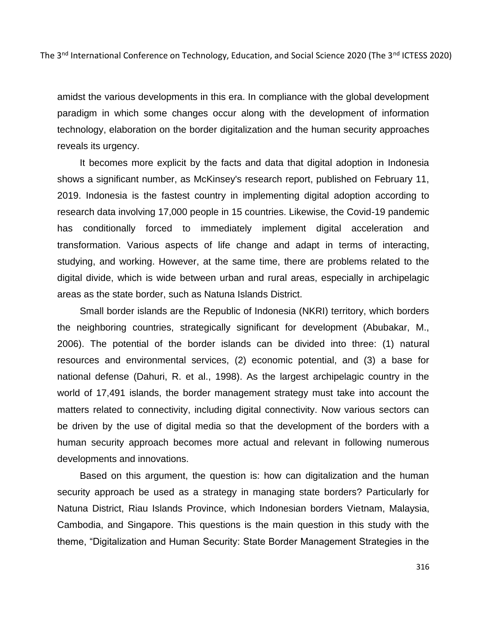amidst the various developments in this era. In compliance with the global development paradigm in which some changes occur along with the development of information technology, elaboration on the border digitalization and the human security approaches reveals its urgency.

It becomes more explicit by the facts and data that digital adoption in Indonesia shows a significant number, as McKinsey's research report, published on February 11, 2019. Indonesia is the fastest country in implementing digital adoption according to research data involving 17,000 people in 15 countries. Likewise, the Covid-19 pandemic has conditionally forced to immediately implement digital acceleration and transformation. Various aspects of life change and adapt in terms of interacting, studying, and working. However, at the same time, there are problems related to the digital divide, which is wide between urban and rural areas, especially in archipelagic areas as the state border, such as Natuna Islands District.

Small border islands are the Republic of Indonesia (NKRI) territory, which borders the neighboring countries, strategically significant for development (Abubakar, M., 2006). The potential of the border islands can be divided into three: (1) natural resources and environmental services, (2) economic potential, and (3) a base for national defense (Dahuri, R. et al., 1998). As the largest archipelagic country in the world of 17,491 islands, the border management strategy must take into account the matters related to connectivity, including digital connectivity. Now various sectors can be driven by the use of digital media so that the development of the borders with a human security approach becomes more actual and relevant in following numerous developments and innovations.

Based on this argument, the question is: how can digitalization and the human security approach be used as a strategy in managing state borders? Particularly for Natuna District, Riau Islands Province, which Indonesian borders Vietnam, Malaysia, Cambodia, and Singapore. This questions is the main question in this study with the theme, "Digitalization and Human Security: State Border Management Strategies in the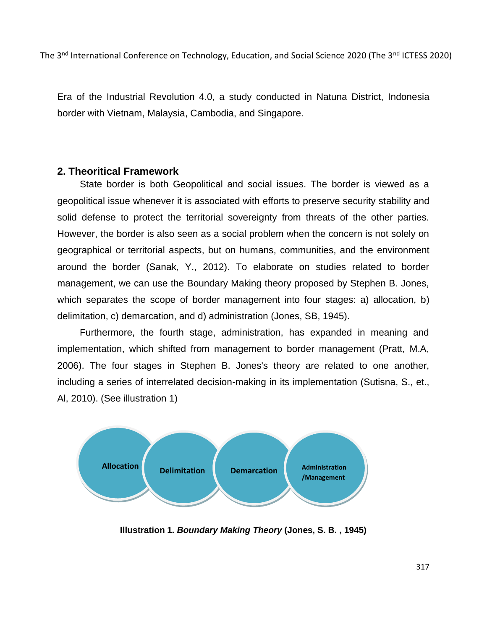Era of the Industrial Revolution 4.0, a study conducted in Natuna District, Indonesia border with Vietnam, Malaysia, Cambodia, and Singapore.

## **2. Theoritical Framework**

State border is both Geopolitical and social issues. The border is viewed as a geopolitical issue whenever it is associated with efforts to preserve security stability and solid defense to protect the territorial sovereignty from threats of the other parties. However, the border is also seen as a social problem when the concern is not solely on geographical or territorial aspects, but on humans, communities, and the environment around the border (Sanak, Y., 2012). To elaborate on studies related to border management, we can use the Boundary Making theory proposed by Stephen B. Jones, which separates the scope of border management into four stages: a) allocation, b) delimitation, c) demarcation, and d) administration (Jones, SB, 1945).

Furthermore, the fourth stage, administration, has expanded in meaning and implementation, which shifted from management to border management (Pratt, M.A, 2006). The four stages in Stephen B. Jones's theory are related to one another, including a series of interrelated decision-making in its implementation (Sutisna, S., et., Al, 2010). (See illustration 1)



**Illustration 1.** *Boundary Making Theory* **(Jones, S. B. , 1945)**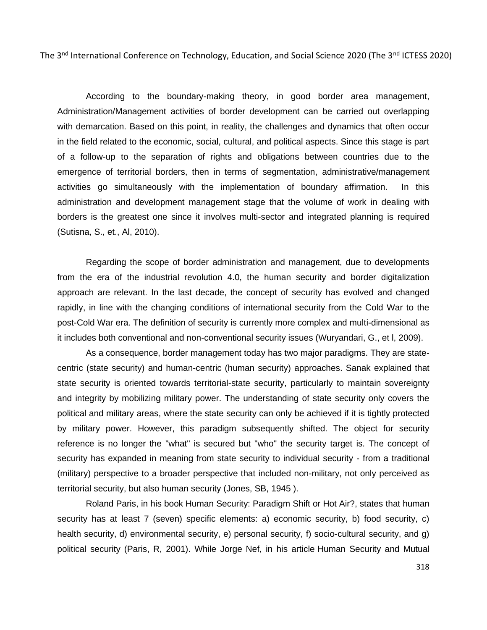According to the boundary-making theory, in good border area management, Administration/Management activities of border development can be carried out overlapping with demarcation. Based on this point, in reality, the challenges and dynamics that often occur in the field related to the economic, social, cultural, and political aspects. Since this stage is part of a follow-up to the separation of rights and obligations between countries due to the emergence of territorial borders, then in terms of segmentation, administrative/management activities go simultaneously with the implementation of boundary affirmation. In this administration and development management stage that the volume of work in dealing with borders is the greatest one since it involves multi-sector and integrated planning is required (Sutisna, S., et., Al, 2010).

Regarding the scope of border administration and management, due to developments from the era of the industrial revolution 4.0, the human security and border digitalization approach are relevant. In the last decade, the concept of security has evolved and changed rapidly, in line with the changing conditions of international security from the Cold War to the post-Cold War era. The definition of security is currently more complex and multi-dimensional as it includes both conventional and non-conventional security issues (Wuryandari, G., et l, 2009).

As a consequence, border management today has two major paradigms. They are statecentric (state security) and human-centric (human security) approaches. Sanak explained that state security is oriented towards territorial-state security, particularly to maintain sovereignty and integrity by mobilizing military power. The understanding of state security only covers the political and military areas, where the state security can only be achieved if it is tightly protected by military power. However, this paradigm subsequently shifted. The object for security reference is no longer the "what" is secured but "who" the security target is. The concept of security has expanded in meaning from state security to individual security - from a traditional (military) perspective to a broader perspective that included non-military, not only perceived as territorial security, but also human security (Jones, SB, 1945 ).

Roland Paris, in his book Human Security: Paradigm Shift or Hot Air?, states that human security has at least 7 (seven) specific elements: a) economic security, b) food security, c) health security, d) environmental security, e) personal security, f) socio-cultural security, and g) political security (Paris, R, 2001). While Jorge Nef, in his article Human Security and Mutual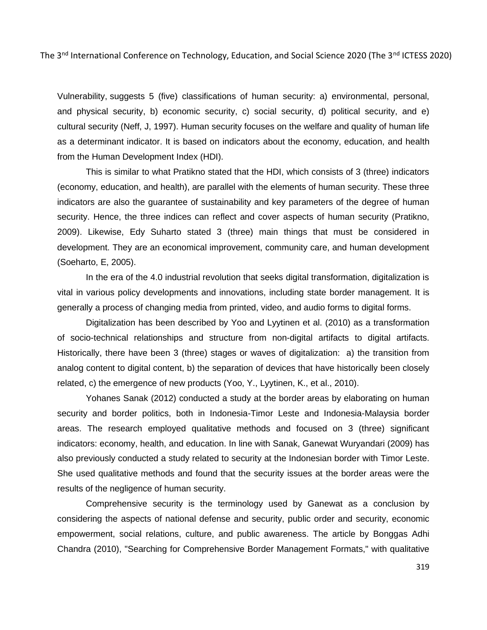Vulnerability, suggests 5 (five) classifications of human security: a) environmental, personal, and physical security, b) economic security, c) social security, d) political security, and e) cultural security (Neff, J, 1997). Human security focuses on the welfare and quality of human life as a determinant indicator. It is based on indicators about the economy, education, and health from the Human Development Index (HDI).

This is similar to what Pratikno stated that the HDI, which consists of 3 (three) indicators (economy, education, and health), are parallel with the elements of human security. These three indicators are also the guarantee of sustainability and key parameters of the degree of human security. Hence, the three indices can reflect and cover aspects of human security (Pratikno, 2009). Likewise, Edy Suharto stated 3 (three) main things that must be considered in development. They are an economical improvement, community care, and human development (Soeharto, E, 2005).

In the era of the 4.0 industrial revolution that seeks digital transformation, digitalization is vital in various policy developments and innovations, including state border management. It is generally a process of changing media from printed, video, and audio forms to digital forms.

Digitalization has been described by Yoo and Lyytinen et al. (2010) as a transformation of socio-technical relationships and structure from non-digital artifacts to digital artifacts. Historically, there have been 3 (three) stages or waves of digitalization: a) the transition from analog content to digital content, b) the separation of devices that have historically been closely related, c) the emergence of new products (Yoo, Y., Lyytinen, K., et al., 2010).

Yohanes Sanak (2012) conducted a study at the border areas by elaborating on human security and border politics, both in Indonesia-Timor Leste and Indonesia-Malaysia border areas. The research employed qualitative methods and focused on 3 (three) significant indicators: economy, health, and education. In line with Sanak, Ganewat Wuryandari (2009) has also previously conducted a study related to security at the Indonesian border with Timor Leste. She used qualitative methods and found that the security issues at the border areas were the results of the negligence of human security.

Comprehensive security is the terminology used by Ganewat as a conclusion by considering the aspects of national defense and security, public order and security, economic empowerment, social relations, culture, and public awareness. The article by Bonggas Adhi Chandra (2010), "Searching for Comprehensive Border Management Formats," with qualitative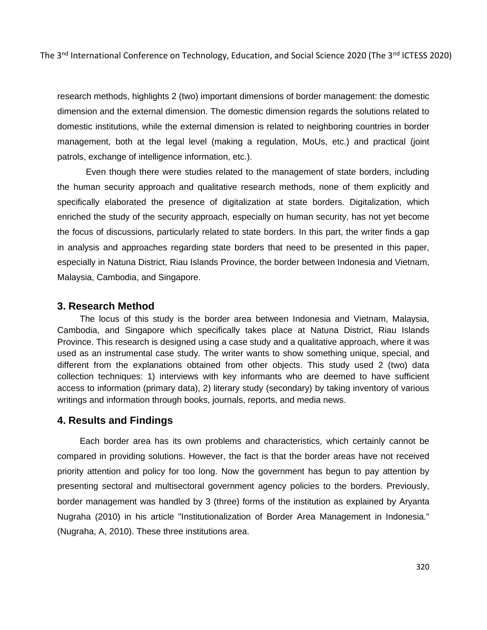research methods, highlights 2 (two) important dimensions of border management: the domestic dimension and the external dimension. The domestic dimension regards the solutions related to domestic institutions, while the external dimension is related to neighboring countries in border management, both at the legal level (making a regulation, MoUs, etc.) and practical (joint patrols, exchange of intelligence information, etc.).

Even though there were studies related to the management of state borders, including the human security approach and qualitative research methods, none of them explicitly and specifically elaborated the presence of digitalization at state borders. Digitalization, which enriched the study of the security approach, especially on human security, has not yet become the focus of discussions, particularly related to state borders. In this part, the writer finds a gap in analysis and approaches regarding state borders that need to be presented in this paper, especially in Natuna District, Riau Islands Province, the border between Indonesia and Vietnam, Malaysia, Cambodia, and Singapore.

#### **3. Research Method**

The locus of this study is the border area between Indonesia and Vietnam, Malaysia, Cambodia, and Singapore which specifically takes place at Natuna District, Riau Islands Province. This research is designed using a case study and a qualitative approach, where it was used as an instrumental case study. The writer wants to show something unique, special, and different from the explanations obtained from other objects. This study used 2 (two) data collection techniques: 1) interviews with key informants who are deemed to have sufficient access to information (primary data), 2) literary study (secondary) by taking inventory of various writings and information through books, journals, reports, and media news.

#### **4. Results and Findings**

Each border area has its own problems and characteristics, which certainly cannot be compared in providing solutions. However, the fact is that the border areas have not received priority attention and policy for too long. Now the government has begun to pay attention by presenting sectoral and multisectoral government agency policies to the borders. Previously, border management was handled by 3 (three) forms of the institution as explained by Aryanta Nugraha (2010) in his article "Institutionalization of Border Area Management in Indonesia." (Nugraha, A, 2010). These three institutions area.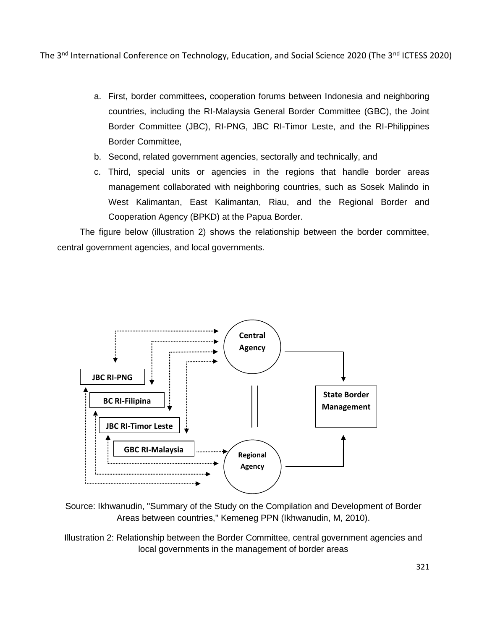- a. First, border committees, cooperation forums between Indonesia and neighboring countries, including the RI-Malaysia General Border Committee (GBC), the Joint Border Committee (JBC), RI-PNG, JBC RI-Timor Leste, and the RI-Philippines Border Committee,
- b. Second, related government agencies, sectorally and technically, and
- c. Third, special units or agencies in the regions that handle border areas management collaborated with neighboring countries, such as Sosek Malindo in West Kalimantan, East Kalimantan, Riau, and the Regional Border and Cooperation Agency (BPKD) at the Papua Border.

The figure below (illustration 2) shows the relationship between the border committee, central government agencies, and local governments.



Source: Ikhwanudin, "Summary of the Study on the Compilation and Development of Border Areas between countries," Kemeneg PPN (Ikhwanudin, M, 2010).

Illustration 2: Relationship between the Border Committee, central government agencies and local governments in the management of border areas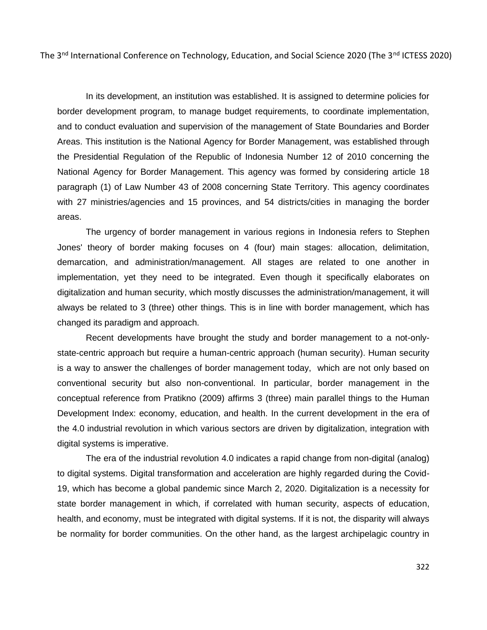In its development, an institution was established. It is assigned to determine policies for border development program, to manage budget requirements, to coordinate implementation, and to conduct evaluation and supervision of the management of State Boundaries and Border Areas. This institution is the National Agency for Border Management, was established through the Presidential Regulation of the Republic of Indonesia Number 12 of 2010 concerning the National Agency for Border Management. This agency was formed by considering article 18 paragraph (1) of Law Number 43 of 2008 concerning State Territory. This agency coordinates with 27 ministries/agencies and 15 provinces, and 54 districts/cities in managing the border areas.

The urgency of border management in various regions in Indonesia refers to Stephen Jones' theory of border making focuses on 4 (four) main stages: allocation, delimitation, demarcation, and administration/management. All stages are related to one another in implementation, yet they need to be integrated. Even though it specifically elaborates on digitalization and human security, which mostly discusses the administration/management, it will always be related to 3 (three) other things. This is in line with border management, which has changed its paradigm and approach.

Recent developments have brought the study and border management to a not-onlystate-centric approach but require a human-centric approach (human security). Human security is a way to answer the challenges of border management today, which are not only based on conventional security but also non-conventional. In particular, border management in the conceptual reference from Pratikno (2009) affirms 3 (three) main parallel things to the Human Development Index: economy, education, and health. In the current development in the era of the 4.0 industrial revolution in which various sectors are driven by digitalization, integration with digital systems is imperative.

The era of the industrial revolution 4.0 indicates a rapid change from non-digital (analog) to digital systems. Digital transformation and acceleration are highly regarded during the Covid-19, which has become a global pandemic since March 2, 2020. Digitalization is a necessity for state border management in which, if correlated with human security, aspects of education, health, and economy, must be integrated with digital systems. If it is not, the disparity will always be normality for border communities. On the other hand, as the largest archipelagic country in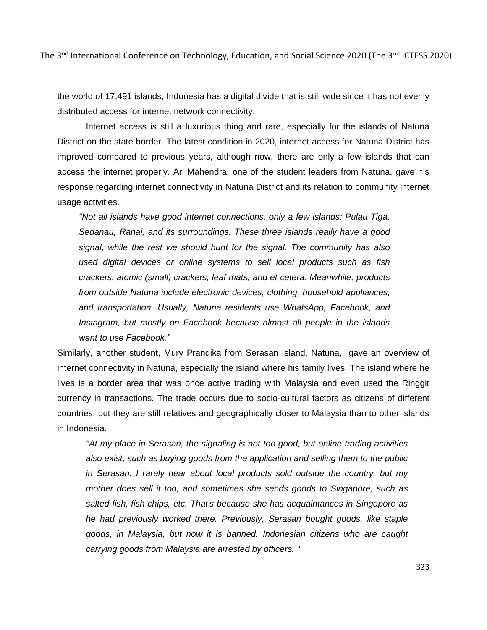the world of 17,491 islands, Indonesia has a digital divide that is still wide since it has not evenly distributed access for internet network connectivity.

Internet access is still a luxurious thing and rare, especially for the islands of Natuna District on the state border. The latest condition in 2020, internet access for Natuna District has improved compared to previous years, although now, there are only a few islands that can access the internet properly. Ari Mahendra, one of the student leaders from Natuna, gave his response regarding internet connectivity in Natuna District and its relation to community internet usage activities.

*"Not all islands have good internet connections, only a few islands: Pulau Tiga, Sedanau, Ranai, and its surroundings. These three islands really have a good signal, while the rest we should hunt for the signal. The community has also used digital devices or online systems to sell local products such as fish crackers, atomic (small) crackers, leaf mats, and et cetera. Meanwhile, products from outside Natuna include electronic devices, clothing, household appliances, and transportation. Usually, Natuna residents use WhatsApp, Facebook, and Instagram, but mostly on Facebook because almost all people in the islands want to use Facebook."*

Similarly, another student, Mury Prandika from Serasan Island, Natuna, gave an overview of internet connectivity in Natuna, especially the island where his family lives. The island where he lives is a border area that was once active trading with Malaysia and even used the Ringgit currency in transactions. The trade occurs due to socio-cultural factors as citizens of different countries, but they are still relatives and geographically closer to Malaysia than to other islands in Indonesia.

*"At my place in Serasan, the signaling is not too good, but online trading activities also exist, such as buying goods from the application and selling them to the public in Serasan. I rarely hear about local products sold outside the country, but my mother does sell it too, and sometimes she sends goods to Singapore, such as salted fish, fish chips, etc. That's because she has acquaintances in Singapore as he had previously worked there. Previously, Serasan bought goods, like staple goods, in Malaysia, but now it is banned. Indonesian citizens who are caught carrying goods from Malaysia are arrested by officers. "*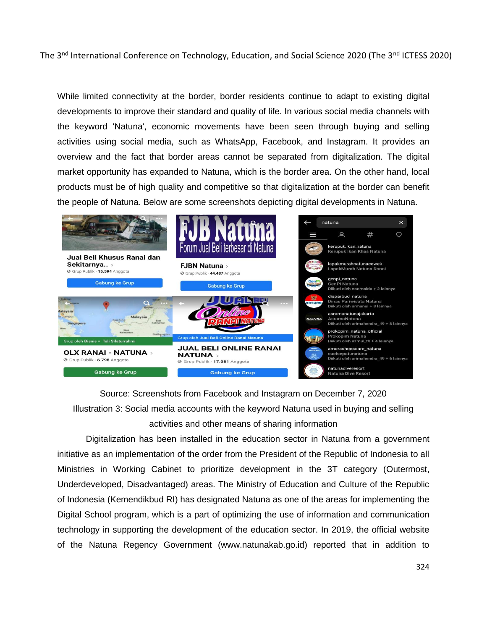While limited connectivity at the border, border residents continue to adapt to existing digital developments to improve their standard and quality of life. In various social media channels with the keyword 'Natuna', economic movements have been seen through buying and selling activities using social media, such as WhatsApp, Facebook, and Instagram. It provides an overview and the fact that border areas cannot be separated from digitalization. The digital market opportunity has expanded to Natuna, which is the border area. On the other hand, local products must be of high quality and competitive so that digitalization at the border can benefit the people of Natuna. Below are some screenshots depicting digital developments in Natuna.



Source: Screenshots from Facebook and Instagram on December 7, 2020 Illustration 3: Social media accounts with the keyword Natuna used in buying and selling activities and other means of sharing information

Digitalization has been installed in the education sector in Natuna from a government initiative as an implementation of the order from the President of the Republic of Indonesia to all Ministries in Working Cabinet to prioritize development in the 3T category (Outermost, Underdeveloped, Disadvantaged) areas. The Ministry of Education and Culture of the Republic of Indonesia (Kemendikbud RI) has designated Natuna as one of the areas for implementing the Digital School program, which is a part of optimizing the use of information and communication technology in supporting the development of the education sector. In 2019, the official website of the Natuna Regency Government (www.natunakab.go.id) reported that in addition to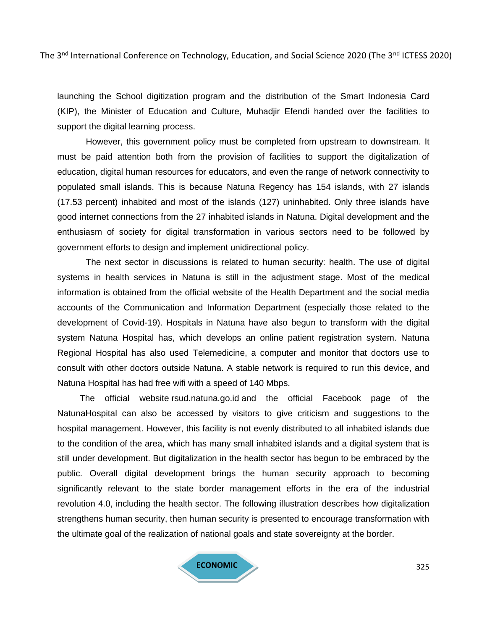launching the School digitization program and the distribution of the Smart Indonesia Card (KIP), the Minister of Education and Culture, Muhadjir Efendi handed over the facilities to support the digital learning process.

However, this government policy must be completed from upstream to downstream. It must be paid attention both from the provision of facilities to support the digitalization of education, digital human resources for educators, and even the range of network connectivity to populated small islands. This is because Natuna Regency has 154 islands, with 27 islands (17.53 percent) inhabited and most of the islands (127) uninhabited. Only three islands have good internet connections from the 27 inhabited islands in Natuna. Digital development and the enthusiasm of society for digital transformation in various sectors need to be followed by government efforts to design and implement unidirectional policy.

The next sector in discussions is related to human security: health. The use of digital systems in health services in Natuna is still in the adjustment stage. Most of the medical information is obtained from the official website of the Health Department and the social media accounts of the Communication and Information Department (especially those related to the development of Covid-19). Hospitals in Natuna have also begun to transform with the digital system Natuna Hospital has, which develops an online patient registration system. Natuna Regional Hospital has also used Telemedicine, a computer and monitor that doctors use to consult with other doctors outside Natuna. A stable network is required to run this device, and Natuna Hospital has had free wifi with a speed of 140 Mbps.

The official website rsud.natuna.go.id and the official Facebook page of the NatunaHospital can also be accessed by visitors to give criticism and suggestions to the hospital management. However, this facility is not evenly distributed to all inhabited islands due to the condition of the area, which has many small inhabited islands and a digital system that is still under development. But digitalization in the health sector has begun to be embraced by the public. Overall digital development brings the human security approach to becoming significantly relevant to the state border management efforts in the era of the industrial revolution 4.0, including the health sector. The following illustration describes how digitalization strengthens human security, then human security is presented to encourage transformation with the ultimate goal of the realization of national goals and state sovereignty at the border.

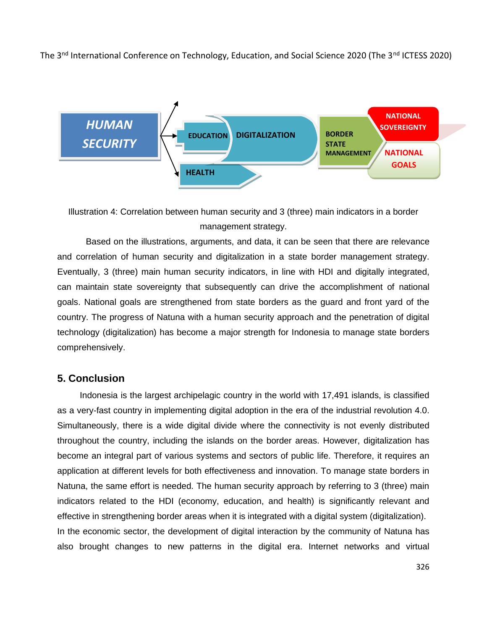

Illustration 4: Correlation between human security and 3 (three) main indicators in a border management strategy.

Based on the illustrations, arguments, and data, it can be seen that there are relevance and correlation of human security and digitalization in a state border management strategy. Eventually, 3 (three) main human security indicators, in line with HDI and digitally integrated, can maintain state sovereignty that subsequently can drive the accomplishment of national goals. National goals are strengthened from state borders as the guard and front yard of the country. The progress of Natuna with a human security approach and the penetration of digital technology (digitalization) has become a major strength for Indonesia to manage state borders comprehensively.

#### **5. Conclusion**

Indonesia is the largest archipelagic country in the world with 17,491 islands, is classified as a very-fast country in implementing digital adoption in the era of the industrial revolution 4.0. Simultaneously, there is a wide digital divide where the connectivity is not evenly distributed throughout the country, including the islands on the border areas. However, digitalization has become an integral part of various systems and sectors of public life. Therefore, it requires an application at different levels for both effectiveness and innovation. To manage state borders in Natuna, the same effort is needed. The human security approach by referring to 3 (three) main indicators related to the HDI (economy, education, and health) is significantly relevant and effective in strengthening border areas when it is integrated with a digital system (digitalization). In the economic sector, the development of digital interaction by the community of Natuna has also brought changes to new patterns in the digital era. Internet networks and virtual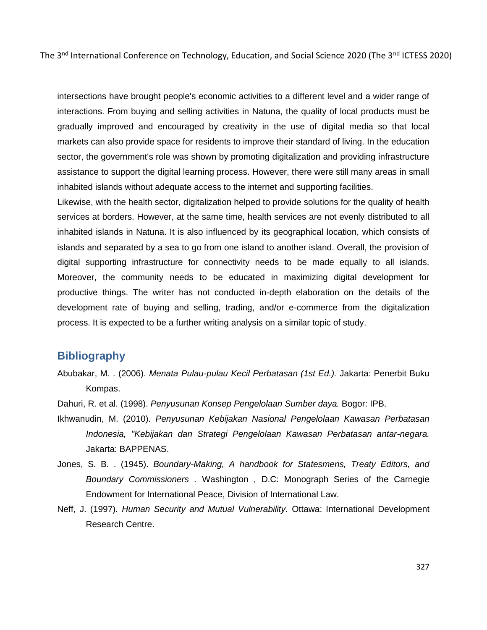intersections have brought people's economic activities to a different level and a wider range of interactions. From buying and selling activities in Natuna, the quality of local products must be gradually improved and encouraged by creativity in the use of digital media so that local markets can also provide space for residents to improve their standard of living. In the education sector, the government's role was shown by promoting digitalization and providing infrastructure assistance to support the digital learning process. However, there were still many areas in small inhabited islands without adequate access to the internet and supporting facilities.

Likewise, with the health sector, digitalization helped to provide solutions for the quality of health services at borders. However, at the same time, health services are not evenly distributed to all inhabited islands in Natuna. It is also influenced by its geographical location, which consists of islands and separated by a sea to go from one island to another island. Overall, the provision of digital supporting infrastructure for connectivity needs to be made equally to all islands. Moreover, the community needs to be educated in maximizing digital development for productive things. The writer has not conducted in-depth elaboration on the details of the development rate of buying and selling, trading, and/or e-commerce from the digitalization process. It is expected to be a further writing analysis on a similar topic of study.

## **Bibliography**

- Abubakar, M. . (2006). *Menata Pulau-pulau Kecil Perbatasan (1st Ed.).* Jakarta: Penerbit Buku Kompas.
- Dahuri, R. et al. (1998). *Penyusunan Konsep Pengelolaan Sumber daya.* Bogor: IPB.
- Ikhwanudin, M. (2010). *Penyusunan Kebijakan Nasional Pengelolaan Kawasan Perbatasan Indonesia, "Kebijakan dan Strategi Pengelolaan Kawasan Perbatasan antar-negara.* Jakarta: BAPPENAS.
- Jones, S. B. . (1945). *Boundary-Making, A handbook for Statesmens, Treaty Editors, and Boundary Commissioners .* Washington , D.C: Monograph Series of the Carnegie Endowment for International Peace, Division of International Law.
- Neff, J. (1997). *Human Security and Mutual Vulnerability.* Ottawa: International Development Research Centre.